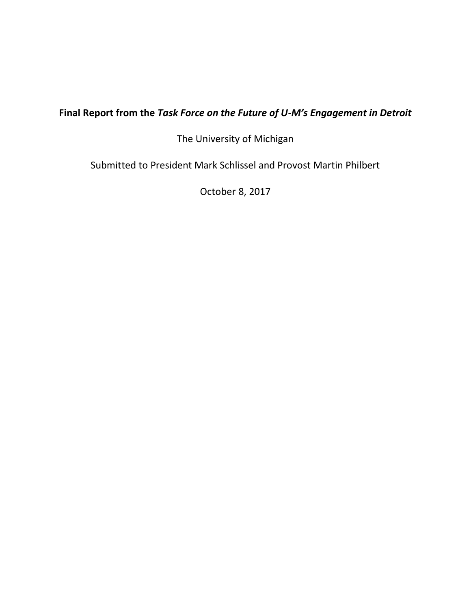# **Final Report from the** *Task Force on the Future of U-M's Engagement in Detroit*

The University of Michigan

Submitted to President Mark Schlissel and Provost Martin Philbert

October 8, 2017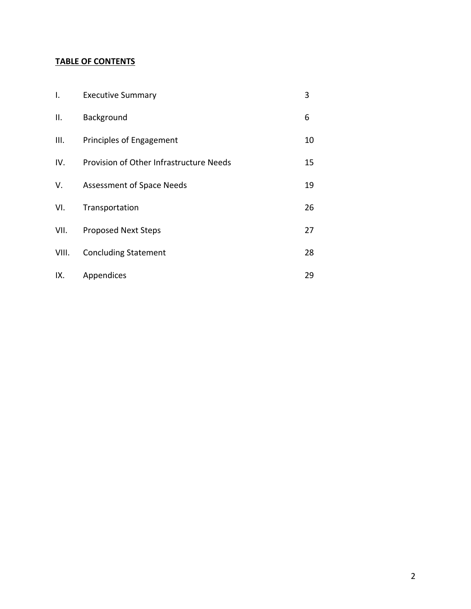## **TABLE OF CONTENTS**

| Ι.    | <b>Executive Summary</b>                | 3  |
|-------|-----------------------------------------|----|
| ΙΙ.   | Background                              | 6  |
| III.  | Principles of Engagement                | 10 |
| IV.   | Provision of Other Infrastructure Needs | 15 |
| V.    | Assessment of Space Needs               | 19 |
| VI.   | Transportation                          | 26 |
| VII.  | <b>Proposed Next Steps</b>              | 27 |
| VIII. | <b>Concluding Statement</b>             | 28 |
| IX.   | Appendices                              | 29 |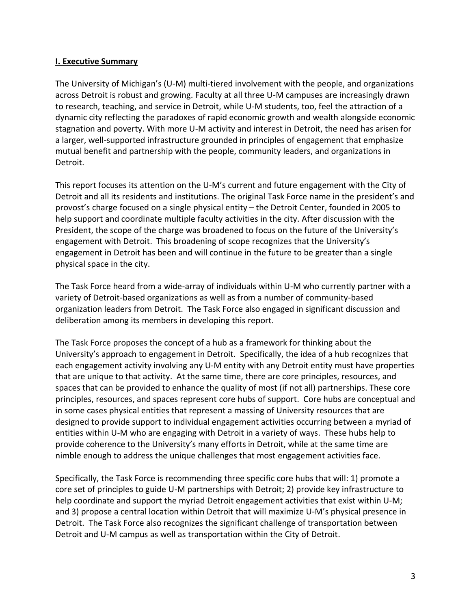#### **I. Executive Summary**

The University of Michigan's (U-M) multi-tiered involvement with the people, and organizations across Detroit is robust and growing. Faculty at all three U-M campuses are increasingly drawn to research, teaching, and service in Detroit, while U-M students, too, feel the attraction of a dynamic city reflecting the paradoxes of rapid economic growth and wealth alongside economic stagnation and poverty. With more U-M activity and interest in Detroit, the need has arisen for a larger, well-supported infrastructure grounded in principles of engagement that emphasize mutual benefit and partnership with the people, community leaders, and organizations in Detroit.

This report focuses its attention on the U-M's current and future engagement with the City of Detroit and all its residents and institutions. The original Task Force name in the president's and provost's charge focused on a single physical entity – the Detroit Center, founded in 2005 to help support and coordinate multiple faculty activities in the city. After discussion with the President, the scope of the charge was broadened to focus on the future of the University's engagement with Detroit. This broadening of scope recognizes that the University's engagement in Detroit has been and will continue in the future to be greater than a single physical space in the city.

The Task Force heard from a wide-array of individuals within U-M who currently partner with a variety of Detroit-based organizations as well as from a number of community-based organization leaders from Detroit. The Task Force also engaged in significant discussion and deliberation among its members in developing this report.

The Task Force proposes the concept of a hub as a framework for thinking about the University's approach to engagement in Detroit. Specifically, the idea of a hub recognizes that each engagement activity involving any U-M entity with any Detroit entity must have properties that are unique to that activity. At the same time, there are core principles, resources, and spaces that can be provided to enhance the quality of most (if not all) partnerships. These core principles, resources, and spaces represent core hubs of support. Core hubs are conceptual and in some cases physical entities that represent a massing of University resources that are designed to provide support to individual engagement activities occurring between a myriad of entities within U-M who are engaging with Detroit in a variety of ways. These hubs help to provide coherence to the University's many efforts in Detroit, while at the same time are nimble enough to address the unique challenges that most engagement activities face.

Specifically, the Task Force is recommending three specific core hubs that will: 1) promote a core set of principles to guide U-M partnerships with Detroit; 2) provide key infrastructure to help coordinate and support the myriad Detroit engagement activities that exist within U-M; and 3) propose a central location within Detroit that will maximize U-M's physical presence in Detroit. The Task Force also recognizes the significant challenge of transportation between Detroit and U-M campus as well as transportation within the City of Detroit.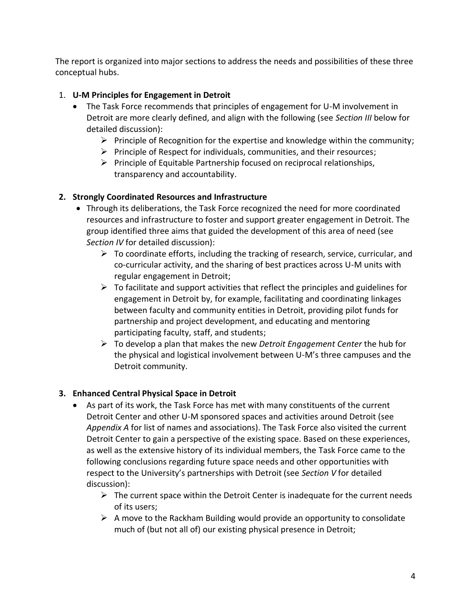The report is organized into major sections to address the needs and possibilities of these three conceptual hubs.

## 1. **U-M Principles for Engagement in Detroit**

- The Task Force recommends that principles of engagement for U-M involvement in Detroit are more clearly defined, and align with the following (see *Section III* below for detailed discussion):
	- $\triangleright$  Principle of Recognition for the expertise and knowledge within the community;
	- ➢ Principle of Respect for individuals, communities, and their resources;
	- $\triangleright$  Principle of Equitable Partnership focused on reciprocal relationships, transparency and accountability.

## **2. Strongly Coordinated Resources and Infrastructure**

- Through its deliberations, the Task Force recognized the need for more coordinated resources and infrastructure to foster and support greater engagement in Detroit. The group identified three aims that guided the development of this area of need (see *Section IV* for detailed discussion):
	- $\triangleright$  To coordinate efforts, including the tracking of research, service, curricular, and co-curricular activity, and the sharing of best practices across U-M units with regular engagement in Detroit;
	- $\triangleright$  To facilitate and support activities that reflect the principles and guidelines for engagement in Detroit by, for example, facilitating and coordinating linkages between faculty and community entities in Detroit, providing pilot funds for partnership and project development, and educating and mentoring participating faculty, staff, and students;
	- ➢ To develop a plan that makes the new *Detroit Engagement Center* the hub for the physical and logistical involvement between U-M's three campuses and the Detroit community.

## **3. Enhanced Central Physical Space in Detroit**

- As part of its work, the Task Force has met with many constituents of the current Detroit Center and other U-M sponsored spaces and activities around Detroit (see *Appendix A* for list of names and associations). The Task Force also visited the current Detroit Center to gain a perspective of the existing space. Based on these experiences, as well as the extensive history of its individual members, the Task Force came to the following conclusions regarding future space needs and other opportunities with respect to the University's partnerships with Detroit (see *Section V* for detailed discussion):
	- $\triangleright$  The current space within the Detroit Center is inadequate for the current needs of its users;
	- $\triangleright$  A move to the Rackham Building would provide an opportunity to consolidate much of (but not all of) our existing physical presence in Detroit;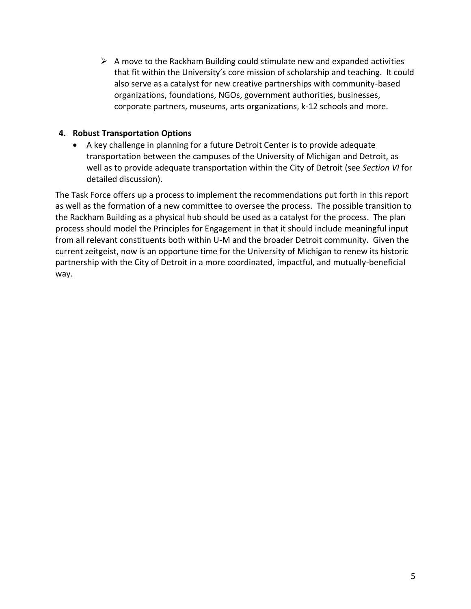$\triangleright$  A move to the Rackham Building could stimulate new and expanded activities that fit within the University's core mission of scholarship and teaching. It could also serve as a catalyst for new creative partnerships with community-based organizations, foundations, NGOs, government authorities, businesses, corporate partners, museums, arts organizations, k-12 schools and more.

### **4. Robust Transportation Options**

• A key challenge in planning for a future Detroit Center is to provide adequate transportation between the campuses of the University of Michigan and Detroit, as well as to provide adequate transportation within the City of Detroit (see *Section VI* for detailed discussion).

The Task Force offers up a process to implement the recommendations put forth in this report as well as the formation of a new committee to oversee the process. The possible transition to the Rackham Building as a physical hub should be used as a catalyst for the process. The plan process should model the Principles for Engagement in that it should include meaningful input from all relevant constituents both within U-M and the broader Detroit community. Given the current zeitgeist, now is an opportune time for the University of Michigan to renew its historic partnership with the City of Detroit in a more coordinated, impactful, and mutually-beneficial way.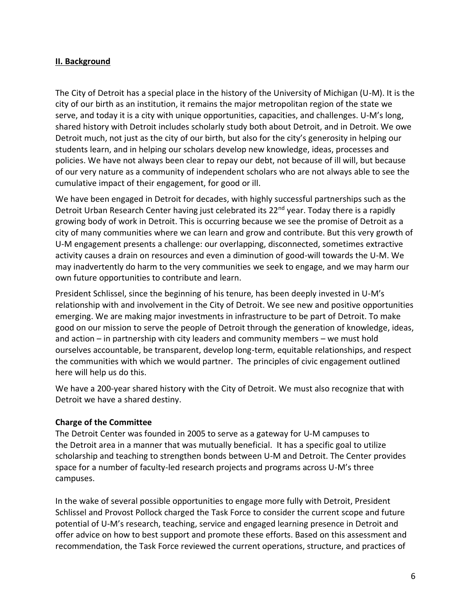#### **II. Background**

The City of Detroit has a special place in the history of the University of Michigan (U-M). It is the city of our birth as an institution, it remains the major metropolitan region of the state we serve, and today it is a city with unique opportunities, capacities, and challenges. U-M's long, shared history with Detroit includes scholarly study both about Detroit, and in Detroit. We owe Detroit much, not just as the city of our birth, but also for the city's generosity in helping our students learn, and in helping our scholars develop new knowledge, ideas, processes and policies. We have not always been clear to repay our debt, not because of ill will, but because of our very nature as a community of independent scholars who are not always able to see the cumulative impact of their engagement, for good or ill.

We have been engaged in Detroit for decades, with highly successful partnerships such as the Detroit Urban Research Center having just celebrated its 22<sup>nd</sup> year. Today there is a rapidly growing body of work in Detroit. This is occurring because we see the promise of Detroit as a city of many communities where we can learn and grow and contribute. But this very growth of U-M engagement presents a challenge: our overlapping, disconnected, sometimes extractive activity causes a drain on resources and even a diminution of good-will towards the U-M. We may inadvertently do harm to the very communities we seek to engage, and we may harm our own future opportunities to contribute and learn.

President Schlissel, since the beginning of his tenure, has been deeply invested in U-M's relationship with and involvement in the City of Detroit. We see new and positive opportunities emerging. We are making major investments in infrastructure to be part of Detroit. To make good on our mission to serve the people of Detroit through the generation of knowledge, ideas, and action – in partnership with city leaders and community members – we must hold ourselves accountable, be transparent, develop long-term, equitable relationships, and respect the communities with which we would partner. The principles of civic engagement outlined here will help us do this.

We have a 200-year shared history with the City of Detroit. We must also recognize that with Detroit we have a shared destiny.

#### **Charge of the Committee**

The Detroit Center was founded in 2005 to serve as a gateway for U-M campuses to the Detroit area in a manner that was mutually beneficial. It has a specific goal to utilize scholarship and teaching to strengthen bonds between U-M and Detroit. The Center provides space for a number of faculty-led research projects and programs across U-M's three campuses.

In the wake of several possible opportunities to engage more fully with Detroit, President Schlissel and Provost Pollock charged the Task Force to consider the current scope and future potential of U-M's research, teaching, service and engaged learning presence in Detroit and offer advice on how to best support and promote these efforts. Based on this assessment and recommendation, the Task Force reviewed the current operations, structure, and practices of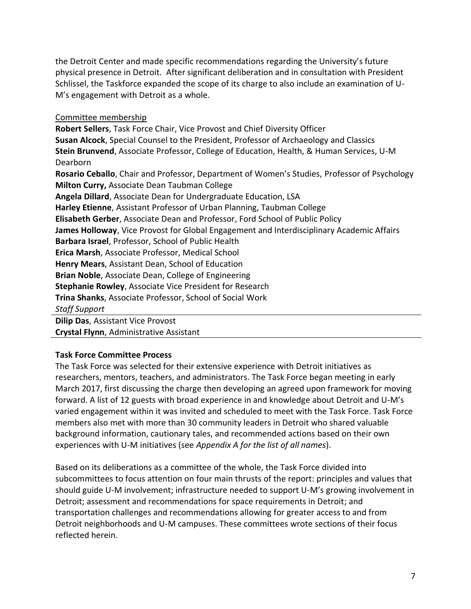the Detroit Center and made specific recommendations regarding the University's future physical presence in Detroit. After significant deliberation and in consultation with President Schlissel, the Taskforce expanded the scope of its charge to also include an examination of U-M's engagement with Detroit as a whole.

#### Committee membership

**Robert Sellers**, Task Force Chair, Vice Provost and Chief Diversity Officer **Susan Alcock**, Special Counsel to the President, Professor of Archaeology and Classics **Stein Brunvend**, Associate Professor, College of Education, Health, & Human Services, U-M Dearborn **Rosario Ceballo**, Chair and Professor, Department of Women's Studies, Professor of Psychology **Milton Curry,** Associate Dean Taubman College **Angela Dillard**, Associate Dean for Undergraduate Education, LSA **Harley Etienne**, Assistant Professor of Urban Planning, Taubman College **Elisabeth Gerber**, Associate Dean and Professor, Ford School of Public Policy **James Holloway**, Vice Provost for Global Engagement and Interdisciplinary Academic Affairs **Barbara Israel**, Professor, School of Public Health **Erica Marsh**, Associate Professor, Medical School **Henry Mears**, Assistant Dean, School of Education **Brian Noble**, Associate Dean, College of Engineering **Stephanie Rowley**, Associate Vice President for Research **Trina Shanks**, Associate Professor, School of Social Work *Staff Support* **Dilip Das**, Assistant Vice Provost **Crystal Flynn**, Administrative Assistant

## **Task Force Committee Process**

The Task Force was selected for their extensive experience with Detroit initiatives as researchers, mentors, teachers, and administrators. The Task Force began meeting in early March 2017, first discussing the charge then developing an agreed upon framework for moving forward. A list of 12 guests with broad experience in and knowledge about Detroit and U-M's varied engagement within it was invited and scheduled to meet with the Task Force. Task Force members also met with more than 30 community leaders in Detroit who shared valuable background information, cautionary tales, and recommended actions based on their own experiences with U-M initiatives (see *Appendix A for the list of all names*).

Based on its deliberations as a committee of the whole, the Task Force divided into subcommittees to focus attention on four main thrusts of the report: principles and values that should guide U-M involvement; infrastructure needed to support U-M's growing involvement in Detroit; assessment and recommendations for space requirements in Detroit; and transportation challenges and recommendations allowing for greater access to and from Detroit neighborhoods and U-M campuses. These committees wrote sections of their focus reflected herein.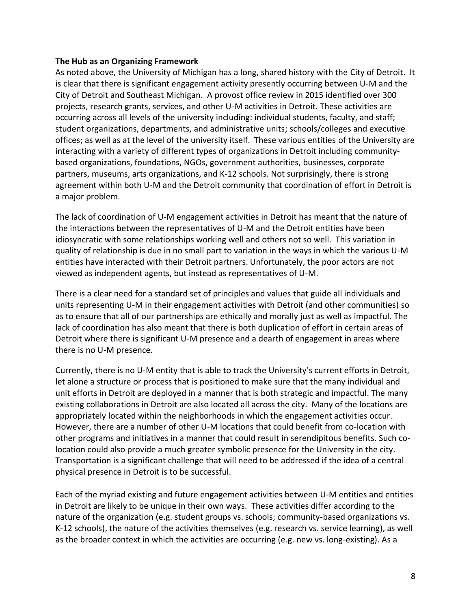#### **The Hub as an Organizing Framework**

As noted above, the University of Michigan has a long, shared history with the City of Detroit. It is clear that there is significant engagement activity presently occurring between U-M and the City of Detroit and Southeast Michigan. A provost office review in 2015 identified over 300 projects, research grants, services, and other U-M activities in Detroit. These activities are occurring across all levels of the university including: individual students, faculty, and staff; student organizations, departments, and administrative units; schools/colleges and executive offices; as well as at the level of the university itself. These various entities of the University are interacting with a variety of different types of organizations in Detroit including communitybased organizations, foundations, NGOs, government authorities, businesses, corporate partners, museums, arts organizations, and K-12 schools. Not surprisingly, there is strong agreement within both U-M and the Detroit community that coordination of effort in Detroit is a major problem.

The lack of coordination of U-M engagement activities in Detroit has meant that the nature of the interactions between the representatives of U-M and the Detroit entities have been idiosyncratic with some relationships working well and others not so well. This variation in quality of relationship is due in no small part to variation in the ways in which the various U-M entities have interacted with their Detroit partners. Unfortunately, the poor actors are not viewed as independent agents, but instead as representatives of U-M.

There is a clear need for a standard set of principles and values that guide all individuals and units representing U-M in their engagement activities with Detroit (and other communities) so as to ensure that all of our partnerships are ethically and morally just as well as impactful. The lack of coordination has also meant that there is both duplication of effort in certain areas of Detroit where there is significant U-M presence and a dearth of engagement in areas where there is no U-M presence.

Currently, there is no U-M entity that is able to track the University's current efforts in Detroit, let alone a structure or process that is positioned to make sure that the many individual and unit efforts in Detroit are deployed in a manner that is both strategic and impactful. The many existing collaborations in Detroit are also located all across the city. Many of the locations are appropriately located within the neighborhoods in which the engagement activities occur. However, there are a number of other U-M locations that could benefit from co-location with other programs and initiatives in a manner that could result in serendipitous benefits. Such colocation could also provide a much greater symbolic presence for the University in the city. Transportation is a significant challenge that will need to be addressed if the idea of a central physical presence in Detroit is to be successful.

Each of the myriad existing and future engagement activities between U-M entities and entities in Detroit are likely to be unique in their own ways. These activities differ according to the nature of the organization (e.g. student groups vs. schools; community-based organizations vs. K-12 schools), the nature of the activities themselves (e.g. research vs. service learning), as well as the broader context in which the activities are occurring (e.g. new vs. long-existing). As a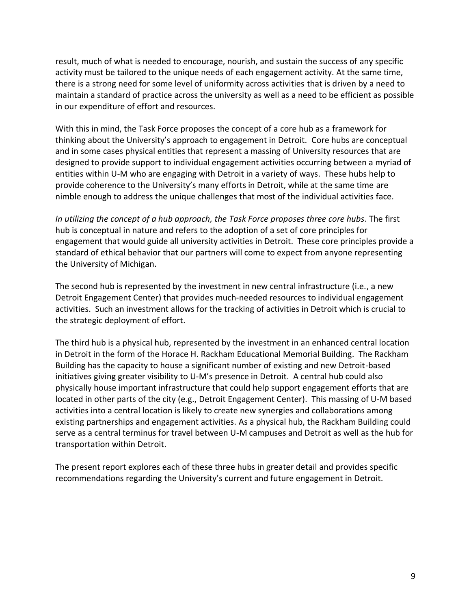result, much of what is needed to encourage, nourish, and sustain the success of any specific activity must be tailored to the unique needs of each engagement activity. At the same time, there is a strong need for some level of uniformity across activities that is driven by a need to maintain a standard of practice across the university as well as a need to be efficient as possible in our expenditure of effort and resources.

With this in mind, the Task Force proposes the concept of a core hub as a framework for thinking about the University's approach to engagement in Detroit. Core hubs are conceptual and in some cases physical entities that represent a massing of University resources that are designed to provide support to individual engagement activities occurring between a myriad of entities within U-M who are engaging with Detroit in a variety of ways. These hubs help to provide coherence to the University's many efforts in Detroit, while at the same time are nimble enough to address the unique challenges that most of the individual activities face.

*In utilizing the concept of a hub approach, the Task Force proposes three core hubs*. The first hub is conceptual in nature and refers to the adoption of a set of core principles for engagement that would guide all university activities in Detroit. These core principles provide a standard of ethical behavior that our partners will come to expect from anyone representing the University of Michigan.

The second hub is represented by the investment in new central infrastructure (i.e., a new Detroit Engagement Center) that provides much-needed resources to individual engagement activities. Such an investment allows for the tracking of activities in Detroit which is crucial to the strategic deployment of effort.

The third hub is a physical hub, represented by the investment in an enhanced central location in Detroit in the form of the Horace H. Rackham Educational Memorial Building. The Rackham Building has the capacity to house a significant number of existing and new Detroit-based initiatives giving greater visibility to U-M's presence in Detroit. A central hub could also physically house important infrastructure that could help support engagement efforts that are located in other parts of the city (e.g., Detroit Engagement Center). This massing of U-M based activities into a central location is likely to create new synergies and collaborations among existing partnerships and engagement activities. As a physical hub, the Rackham Building could serve as a central terminus for travel between U-M campuses and Detroit as well as the hub for transportation within Detroit.

The present report explores each of these three hubs in greater detail and provides specific recommendations regarding the University's current and future engagement in Detroit.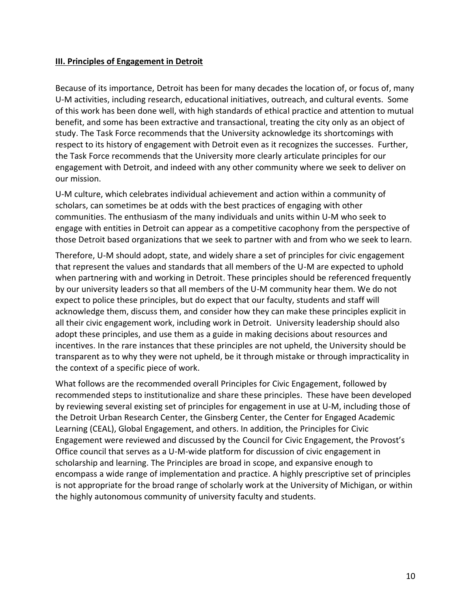#### **III. Principles of Engagement in Detroit**

Because of its importance, Detroit has been for many decades the location of, or focus of, many U-M activities, including research, educational initiatives, outreach, and cultural events. Some of this work has been done well, with high standards of ethical practice and attention to mutual benefit, and some has been extractive and transactional, treating the city only as an object of study. The Task Force recommends that the University acknowledge its shortcomings with respect to its history of engagement with Detroit even as it recognizes the successes. Further, the Task Force recommends that the University more clearly articulate principles for our engagement with Detroit, and indeed with any other community where we seek to deliver on our mission.

U-M culture, which celebrates individual achievement and action within a community of scholars, can sometimes be at odds with the best practices of engaging with other communities. The enthusiasm of the many individuals and units within U-M who seek to engage with entities in Detroit can appear as a competitive cacophony from the perspective of those Detroit based organizations that we seek to partner with and from who we seek to learn.

Therefore, U-M should adopt, state, and widely share a set of principles for civic engagement that represent the values and standards that all members of the U-M are expected to uphold when partnering with and working in Detroit. These principles should be referenced frequently by our university leaders so that all members of the U-M community hear them. We do not expect to police these principles, but do expect that our faculty, students and staff will acknowledge them, discuss them, and consider how they can make these principles explicit in all their civic engagement work, including work in Detroit. University leadership should also adopt these principles, and use them as a guide in making decisions about resources and incentives. In the rare instances that these principles are not upheld, the University should be transparent as to why they were not upheld, be it through mistake or through impracticality in the context of a specific piece of work.

What follows are the recommended overall Principles for Civic Engagement, followed by recommended steps to institutionalize and share these principles. These have been developed by reviewing several existing set of principles for engagement in use at U-M, including those of the Detroit Urban Research Center, the Ginsberg Center, the Center for Engaged Academic Learning (CEAL), Global Engagement, and others. In addition, the Principles for Civic Engagement were reviewed and discussed by the Council for Civic Engagement, the Provost's Office council that serves as a U-M-wide platform for discussion of civic engagement in scholarship and learning. The Principles are broad in scope, and expansive enough to encompass a wide range of implementation and practice. A highly prescriptive set of principles is not appropriate for the broad range of scholarly work at the University of Michigan, or within the highly autonomous community of university faculty and students.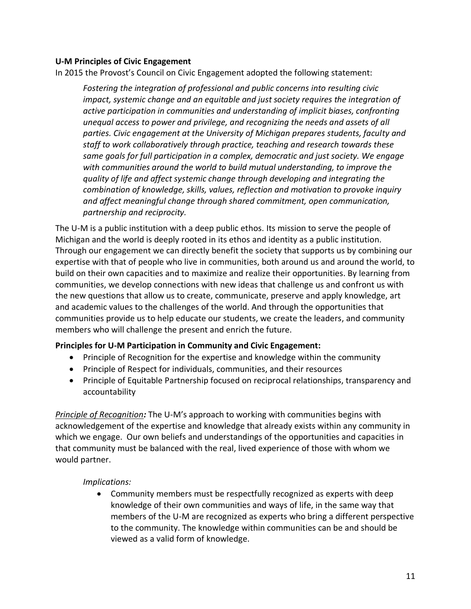#### **U-M Principles of Civic Engagement**

In 2015 the Provost's Council on Civic Engagement adopted the following statement:

*Fostering the integration of professional and public concerns into resulting civic impact, systemic change and an equitable and just society requires the integration of active participation in communities and understanding of implicit biases, confronting unequal access to power and privilege, and recognizing the needs and assets of all parties. Civic engagement at the University of Michigan prepares students, faculty and staff to work collaboratively through practice, teaching and research towards these same goals for full participation in a complex, democratic and just society. We engage with communities around the world to build mutual understanding, to improve the quality of life and affect systemic change through developing and integrating the combination of knowledge, skills, values, reflection and motivation to provoke inquiry and affect meaningful change through shared commitment, open communication, partnership and reciprocity.*

The U-M is a public institution with a deep public ethos. Its mission to serve the people of Michigan and the world is deeply rooted in its ethos and identity as a public institution. Through our engagement we can directly benefit the society that supports us by combining our expertise with that of people who live in communities, both around us and around the world, to build on their own capacities and to maximize and realize their opportunities. By learning from communities, we develop connections with new ideas that challenge us and confront us with the new questions that allow us to create, communicate, preserve and apply knowledge, art and academic values to the challenges of the world. And through the opportunities that communities provide us to help educate our students, we create the leaders, and community members who will challenge the present and enrich the future.

#### **Principles for U-M Participation in Community and Civic Engagement:**

- Principle of Recognition for the expertise and knowledge within the community
- Principle of Respect for individuals, communities, and their resources
- Principle of Equitable Partnership focused on reciprocal relationships, transparency and accountability

*Principle of Recognition:* The U-M's approach to working with communities begins with acknowledgement of the expertise and knowledge that already exists within any community in which we engage. Our own beliefs and understandings of the opportunities and capacities in that community must be balanced with the real, lived experience of those with whom we would partner.

#### *Implications:*

• Community members must be respectfully recognized as experts with deep knowledge of their own communities and ways of life, in the same way that members of the U-M are recognized as experts who bring a different perspective to the community. The knowledge within communities can be and should be viewed as a valid form of knowledge.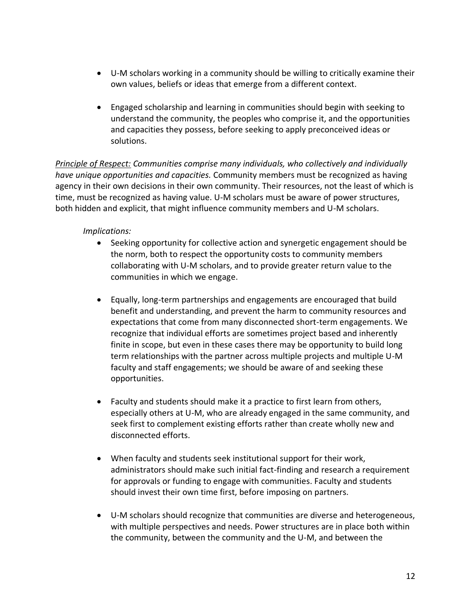- U-M scholars working in a community should be willing to critically examine their own values, beliefs or ideas that emerge from a different context.
- Engaged scholarship and learning in communities should begin with seeking to understand the community, the peoples who comprise it, and the opportunities and capacities they possess, before seeking to apply preconceived ideas or solutions.

*Principle of Respect: Communities comprise many individuals, who collectively and individually have unique opportunities and capacities.* Community members must be recognized as having agency in their own decisions in their own community. Their resources, not the least of which is time, must be recognized as having value. U-M scholars must be aware of power structures, both hidden and explicit, that might influence community members and U-M scholars.

#### *Implications:*

- Seeking opportunity for collective action and synergetic engagement should be the norm, both to respect the opportunity costs to community members collaborating with U-M scholars, and to provide greater return value to the communities in which we engage.
- Equally, long-term partnerships and engagements are encouraged that build benefit and understanding, and prevent the harm to community resources and expectations that come from many disconnected short-term engagements. We recognize that individual efforts are sometimes project based and inherently finite in scope, but even in these cases there may be opportunity to build long term relationships with the partner across multiple projects and multiple U-M faculty and staff engagements; we should be aware of and seeking these opportunities.
- Faculty and students should make it a practice to first learn from others, especially others at U-M, who are already engaged in the same community, and seek first to complement existing efforts rather than create wholly new and disconnected efforts.
- When faculty and students seek institutional support for their work, administrators should make such initial fact-finding and research a requirement for approvals or funding to engage with communities. Faculty and students should invest their own time first, before imposing on partners.
- U-M scholars should recognize that communities are diverse and heterogeneous, with multiple perspectives and needs. Power structures are in place both within the community, between the community and the U-M, and between the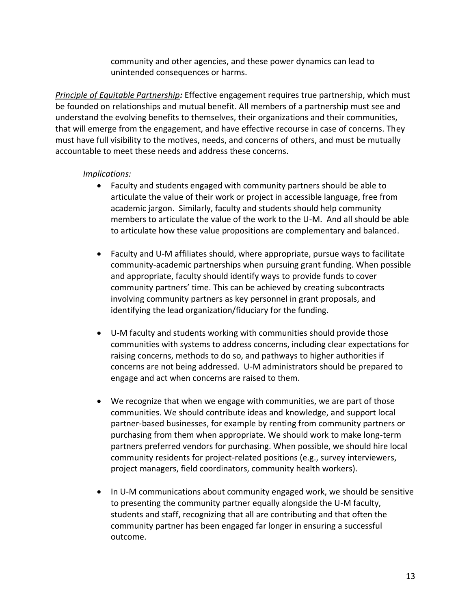community and other agencies, and these power dynamics can lead to unintended consequences or harms.

*Principle of Equitable Partnership:* Effective engagement requires true partnership, which must be founded on relationships and mutual benefit. All members of a partnership must see and understand the evolving benefits to themselves, their organizations and their communities, that will emerge from the engagement, and have effective recourse in case of concerns. They must have full visibility to the motives, needs, and concerns of others, and must be mutually accountable to meet these needs and address these concerns.

#### *Implications:*

- Faculty and students engaged with community partners should be able to articulate the value of their work or project in accessible language, free from academic jargon. Similarly, faculty and students should help community members to articulate the value of the work to the U-M. And all should be able to articulate how these value propositions are complementary and balanced.
- Faculty and U-M affiliates should, where appropriate, pursue ways to facilitate community-academic partnerships when pursuing grant funding. When possible and appropriate, faculty should identify ways to provide funds to cover community partners' time. This can be achieved by creating subcontracts involving community partners as key personnel in grant proposals, and identifying the lead organization/fiduciary for the funding.
- U-M faculty and students working with communities should provide those communities with systems to address concerns, including clear expectations for raising concerns, methods to do so, and pathways to higher authorities if concerns are not being addressed. U-M administrators should be prepared to engage and act when concerns are raised to them.
- We recognize that when we engage with communities, we are part of those communities. We should contribute ideas and knowledge, and support local partner-based businesses, for example by renting from community partners or purchasing from them when appropriate. We should work to make long-term partners preferred vendors for purchasing. When possible, we should hire local community residents for project-related positions (e.g., survey interviewers, project managers, field coordinators, community health workers).
- In U-M communications about community engaged work, we should be sensitive to presenting the community partner equally alongside the U-M faculty, students and staff, recognizing that all are contributing and that often the community partner has been engaged far longer in ensuring a successful outcome.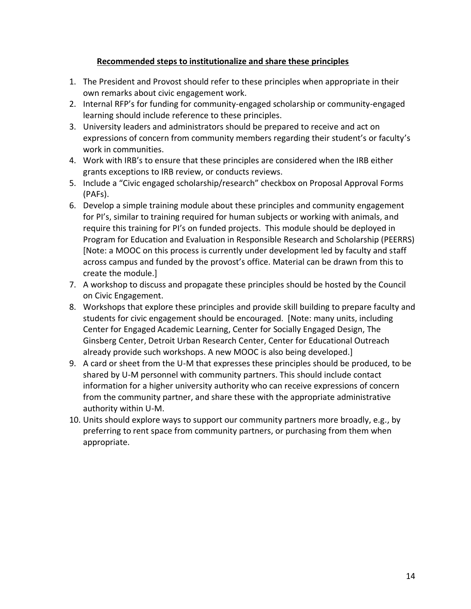### **Recommended steps to institutionalize and share these principles**

- 1. The President and Provost should refer to these principles when appropriate in their own remarks about civic engagement work.
- 2. Internal RFP's for funding for community-engaged scholarship or community-engaged learning should include reference to these principles.
- 3. University leaders and administrators should be prepared to receive and act on expressions of concern from community members regarding their student's or faculty's work in communities.
- 4. Work with IRB's to ensure that these principles are considered when the IRB either grants exceptions to IRB review, or conducts reviews.
- 5. Include a "Civic engaged scholarship/research" checkbox on Proposal Approval Forms (PAFs).
- 6. Develop a simple training module about these principles and community engagement for PI's, similar to training required for human subjects or working with animals, and require this training for PI's on funded projects. This module should be deployed in Program for Education and Evaluation in Responsible Research and Scholarship (PEERRS) [Note: a MOOC on this process is currently under development led by faculty and staff across campus and funded by the provost's office. Material can be drawn from this to create the module.]
- 7. A workshop to discuss and propagate these principles should be hosted by the Council on Civic Engagement.
- 8. Workshops that explore these principles and provide skill building to prepare faculty and students for civic engagement should be encouraged. [Note: many units, including Center for Engaged Academic Learning, Center for Socially Engaged Design, The Ginsberg Center, Detroit Urban Research Center, Center for Educational Outreach already provide such workshops. A new MOOC is also being developed.]
- 9. A card or sheet from the U-M that expresses these principles should be produced, to be shared by U-M personnel with community partners. This should include contact information for a higher university authority who can receive expressions of concern from the community partner, and share these with the appropriate administrative authority within U-M.
- 10. Units should explore ways to support our community partners more broadly, e.g., by preferring to rent space from community partners, or purchasing from them when appropriate.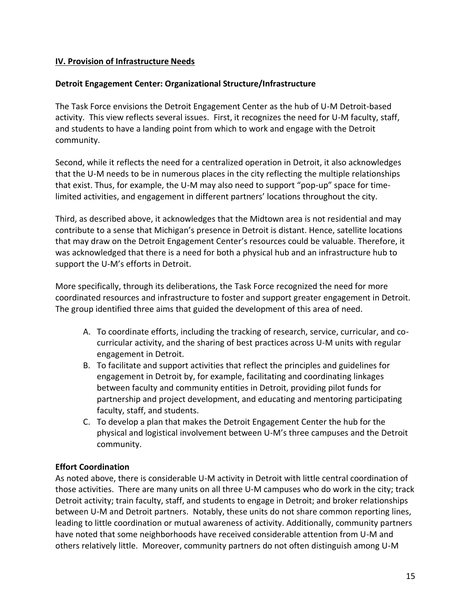## **IV. Provision of Infrastructure Needs**

### **Detroit Engagement Center: Organizational Structure/Infrastructure**

The Task Force envisions the Detroit Engagement Center as the hub of U-M Detroit-based activity. This view reflects several issues. First, it recognizes the need for U-M faculty, staff, and students to have a landing point from which to work and engage with the Detroit community.

Second, while it reflects the need for a centralized operation in Detroit, it also acknowledges that the U-M needs to be in numerous places in the city reflecting the multiple relationships that exist. Thus, for example, the U-M may also need to support "pop-up" space for timelimited activities, and engagement in different partners' locations throughout the city.

Third, as described above, it acknowledges that the Midtown area is not residential and may contribute to a sense that Michigan's presence in Detroit is distant. Hence, satellite locations that may draw on the Detroit Engagement Center's resources could be valuable. Therefore, it was acknowledged that there is a need for both a physical hub and an infrastructure hub to support the U-M's efforts in Detroit.

More specifically, through its deliberations, the Task Force recognized the need for more coordinated resources and infrastructure to foster and support greater engagement in Detroit. The group identified three aims that guided the development of this area of need.

- A. To coordinate efforts, including the tracking of research, service, curricular, and cocurricular activity, and the sharing of best practices across U-M units with regular engagement in Detroit.
- B. To facilitate and support activities that reflect the principles and guidelines for engagement in Detroit by, for example, facilitating and coordinating linkages between faculty and community entities in Detroit, providing pilot funds for partnership and project development, and educating and mentoring participating faculty, staff, and students.
- C. To develop a plan that makes the Detroit Engagement Center the hub for the physical and logistical involvement between U-M's three campuses and the Detroit community.

## **Effort Coordination**

As noted above, there is considerable U-M activity in Detroit with little central coordination of those activities. There are many units on all three U-M campuses who do work in the city; track Detroit activity; train faculty, staff, and students to engage in Detroit; and broker relationships between U-M and Detroit partners. Notably, these units do not share common reporting lines, leading to little coordination or mutual awareness of activity. Additionally, community partners have noted that some neighborhoods have received considerable attention from U-M and others relatively little. Moreover, community partners do not often distinguish among U-M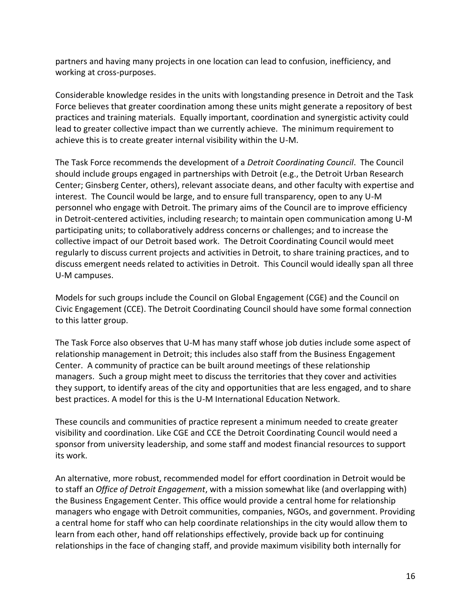partners and having many projects in one location can lead to confusion, inefficiency, and working at cross-purposes.

Considerable knowledge resides in the units with longstanding presence in Detroit and the Task Force believes that greater coordination among these units might generate a repository of best practices and training materials. Equally important, coordination and synergistic activity could lead to greater collective impact than we currently achieve. The minimum requirement to achieve this is to create greater internal visibility within the U-M.

The Task Force recommends the development of a *Detroit Coordinating Council*. The Council should include groups engaged in partnerships with Detroit (e.g., the Detroit Urban Research Center; Ginsberg Center, others), relevant associate deans, and other faculty with expertise and interest. The Council would be large, and to ensure full transparency, open to any U-M personnel who engage with Detroit. The primary aims of the Council are to improve efficiency in Detroit-centered activities, including research; to maintain open communication among U-M participating units; to collaboratively address concerns or challenges; and to increase the collective impact of our Detroit based work. The Detroit Coordinating Council would meet regularly to discuss current projects and activities in Detroit, to share training practices, and to discuss emergent needs related to activities in Detroit. This Council would ideally span all three U-M campuses.

Models for such groups include the Council on Global Engagement (CGE) and the Council on Civic Engagement (CCE). The Detroit Coordinating Council should have some formal connection to this latter group.

The Task Force also observes that U-M has many staff whose job duties include some aspect of relationship management in Detroit; this includes also staff from the Business Engagement Center. A community of practice can be built around meetings of these relationship managers. Such a group might meet to discuss the territories that they cover and activities they support, to identify areas of the city and opportunities that are less engaged, and to share best practices. A model for this is the U-M International Education Network.

These councils and communities of practice represent a minimum needed to create greater visibility and coordination. Like CGE and CCE the Detroit Coordinating Council would need a sponsor from university leadership, and some staff and modest financial resources to support its work.

An alternative, more robust, recommended model for effort coordination in Detroit would be to staff an *Office of Detroit Engagement*, with a mission somewhat like (and overlapping with) the Business Engagement Center. This office would provide a central home for relationship managers who engage with Detroit communities, companies, NGOs, and government. Providing a central home for staff who can help coordinate relationships in the city would allow them to learn from each other, hand off relationships effectively, provide back up for continuing relationships in the face of changing staff, and provide maximum visibility both internally for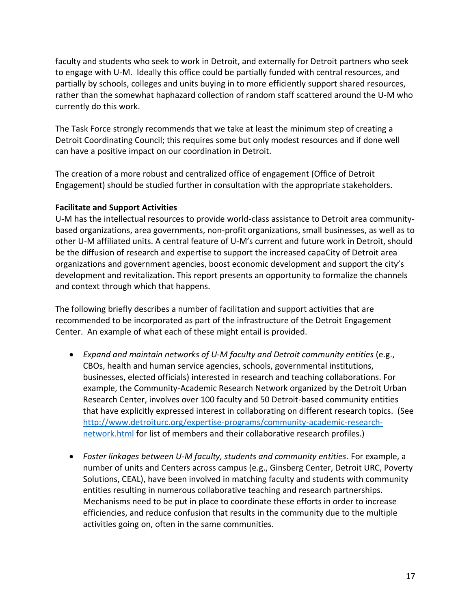faculty and students who seek to work in Detroit, and externally for Detroit partners who seek to engage with U-M. Ideally this office could be partially funded with central resources, and partially by schools, colleges and units buying in to more efficiently support shared resources, rather than the somewhat haphazard collection of random staff scattered around the U-M who currently do this work.

The Task Force strongly recommends that we take at least the minimum step of creating a Detroit Coordinating Council; this requires some but only modest resources and if done well can have a positive impact on our coordination in Detroit.

The creation of a more robust and centralized office of engagement (Office of Detroit Engagement) should be studied further in consultation with the appropriate stakeholders.

## **Facilitate and Support Activities**

U-M has the intellectual resources to provide world-class assistance to Detroit area communitybased organizations, area governments, non-profit organizations, small businesses, as well as to other U-M affiliated units. A central feature of U-M's current and future work in Detroit, should be the diffusion of research and expertise to support the increased capaCity of Detroit area organizations and government agencies, boost economic development and support the city's development and revitalization. This report presents an opportunity to formalize the channels and context through which that happens.

The following briefly describes a number of facilitation and support activities that are recommended to be incorporated as part of the infrastructure of the Detroit Engagement Center. An example of what each of these might entail is provided.

- *Expand and maintain networks of U-M faculty and Detroit community entities* (e.g., CBOs, health and human service agencies, schools, governmental institutions, businesses, elected officials) interested in research and teaching collaborations. For example, the Community-Academic Research Network organized by the Detroit Urban Research Center, involves over 100 faculty and 50 Detroit-based community entities that have explicitly expressed interest in collaborating on different research topics. (See [http://www.detroiturc.org/expertise-programs/community-academic-research](http://www.detroiturc.org/expertise-programs/community-academic-research-network.html)[network.html](http://www.detroiturc.org/expertise-programs/community-academic-research-network.html) for list of members and their collaborative research profiles.)
- *Foster linkages between U-M faculty, students and community entities*. For example, a number of units and Centers across campus (e.g., Ginsberg Center, Detroit URC, Poverty Solutions, CEAL), have been involved in matching faculty and students with community entities resulting in numerous collaborative teaching and research partnerships. Mechanisms need to be put in place to coordinate these efforts in order to increase efficiencies, and reduce confusion that results in the community due to the multiple activities going on, often in the same communities.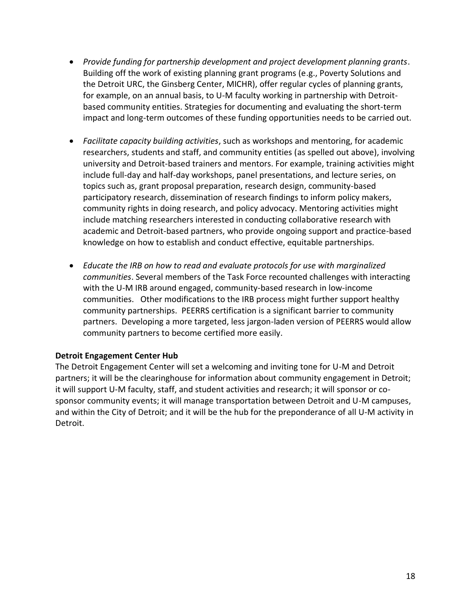- *Provide funding for partnership development and project development planning grants*. Building off the work of existing planning grant programs (e.g., Poverty Solutions and the Detroit URC, the Ginsberg Center, MICHR), offer regular cycles of planning grants, for example, on an annual basis, to U-M faculty working in partnership with Detroitbased community entities. Strategies for documenting and evaluating the short-term impact and long-term outcomes of these funding opportunities needs to be carried out.
- *Facilitate capacity building activities*, such as workshops and mentoring, for academic researchers, students and staff, and community entities (as spelled out above), involving university and Detroit-based trainers and mentors. For example, training activities might include full-day and half-day workshops, panel presentations, and lecture series, on topics such as, grant proposal preparation, research design, community-based participatory research, dissemination of research findings to inform policy makers, community rights in doing research, and policy advocacy. Mentoring activities might include matching researchers interested in conducting collaborative research with academic and Detroit-based partners, who provide ongoing support and practice-based knowledge on how to establish and conduct effective, equitable partnerships.
- *Educate the IRB on how to read and evaluate protocols for use with marginalized communities*. Several members of the Task Force recounted challenges with interacting with the U-M IRB around engaged, community-based research in low-income communities. Other modifications to the IRB process might further support healthy community partnerships. PEERRS certification is a significant barrier to community partners. Developing a more targeted, less jargon-laden version of PEERRS would allow community partners to become certified more easily.

## **Detroit Engagement Center Hub**

The Detroit Engagement Center will set a welcoming and inviting tone for U-M and Detroit partners; it will be the clearinghouse for information about community engagement in Detroit; it will support U-M faculty, staff, and student activities and research; it will sponsor or cosponsor community events; it will manage transportation between Detroit and U-M campuses, and within the City of Detroit; and it will be the hub for the preponderance of all U-M activity in Detroit.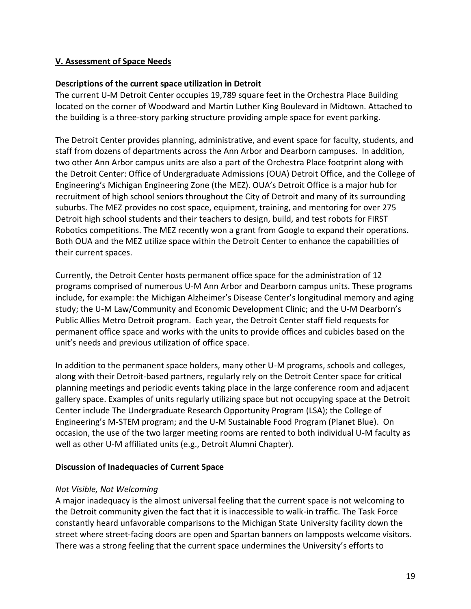## **V. Assessment of Space Needs**

#### **Descriptions of the current space utilization in Detroit**

The current U-M Detroit Center occupies 19,789 square feet in the Orchestra Place Building located on the corner of Woodward and Martin Luther King Boulevard in Midtown. Attached to the building is a three-story parking structure providing ample space for event parking.

The Detroit Center provides planning, administrative, and event space for faculty, students, and staff from dozens of departments across the Ann Arbor and Dearborn campuses. In addition, two other Ann Arbor campus units are also a part of the Orchestra Place footprint along with the Detroit Center: Office of Undergraduate Admissions (OUA) Detroit Office, and the College of Engineering's Michigan Engineering Zone (the MEZ). OUA's Detroit Office is a major hub for recruitment of high school seniors throughout the City of Detroit and many of its surrounding suburbs. The MEZ provides no cost space, equipment, training, and mentoring for over 275 Detroit high school students and their teachers to design, build, and test robots for FIRST Robotics competitions. The MEZ recently won a grant from Google to expand their operations. Both OUA and the MEZ utilize space within the Detroit Center to enhance the capabilities of their current spaces.

Currently, the Detroit Center hosts permanent office space for the administration of 12 programs comprised of numerous U-M Ann Arbor and Dearborn campus units. These programs include, for example: the Michigan Alzheimer's Disease Center's longitudinal memory and aging study; the U-M Law/Community and Economic Development Clinic; and the U-M Dearborn's Public Allies Metro Detroit program. Each year, the Detroit Center staff field requests for permanent office space and works with the units to provide offices and cubicles based on the unit's needs and previous utilization of office space.

In addition to the permanent space holders, many other U-M programs, schools and colleges, along with their Detroit-based partners, regularly rely on the Detroit Center space for critical planning meetings and periodic events taking place in the large conference room and adjacent gallery space. Examples of units regularly utilizing space but not occupying space at the Detroit Center include The Undergraduate Research Opportunity Program (LSA); the College of Engineering's M-STEM program; and the U-M Sustainable Food Program (Planet Blue). On occasion, the use of the two larger meeting rooms are rented to both individual U-M faculty as well as other U-M affiliated units (e.g., Detroit Alumni Chapter).

#### **Discussion of Inadequacies of Current Space**

#### *Not Visible, Not Welcoming*

A major inadequacy is the almost universal feeling that the current space is not welcoming to the Detroit community given the fact that it is inaccessible to walk-in traffic. The Task Force constantly heard unfavorable comparisons to the Michigan State University facility down the street where street-facing doors are open and Spartan banners on lampposts welcome visitors. There was a strong feeling that the current space undermines the University's efforts to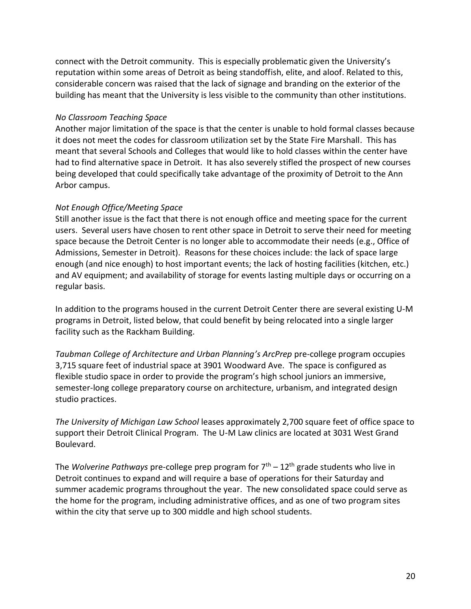connect with the Detroit community. This is especially problematic given the University's reputation within some areas of Detroit as being standoffish, elite, and aloof. Related to this, considerable concern was raised that the lack of signage and branding on the exterior of the building has meant that the University is less visible to the community than other institutions.

#### *No Classroom Teaching Space*

Another major limitation of the space is that the center is unable to hold formal classes because it does not meet the codes for classroom utilization set by the State Fire Marshall. This has meant that several Schools and Colleges that would like to hold classes within the center have had to find alternative space in Detroit. It has also severely stifled the prospect of new courses being developed that could specifically take advantage of the proximity of Detroit to the Ann Arbor campus.

## *Not Enough Office/Meeting Space*

Still another issue is the fact that there is not enough office and meeting space for the current users. Several users have chosen to rent other space in Detroit to serve their need for meeting space because the Detroit Center is no longer able to accommodate their needs (e.g., Office of Admissions, Semester in Detroit). Reasons for these choices include: the lack of space large enough (and nice enough) to host important events; the lack of hosting facilities (kitchen, etc.) and AV equipment; and availability of storage for events lasting multiple days or occurring on a regular basis.

In addition to the programs housed in the current Detroit Center there are several existing U-M programs in Detroit, listed below, that could benefit by being relocated into a single larger facility such as the Rackham Building.

*Taubman College of Architecture and Urban Planning's ArcPrep* pre-college program occupies 3,715 square feet of industrial space at 3901 Woodward Ave. The space is configured as flexible studio space in order to provide the program's high school juniors an immersive, semester-long college preparatory course on architecture, urbanism, and integrated design studio practices.

*The University of Michigan Law School* leases approximately 2,700 square feet of office space to support their Detroit Clinical Program. The U-M Law clinics are located at 3031 West Grand Boulevard.

The *Wolverine Pathways* pre-college prep program for 7th – 12th grade students who live in Detroit continues to expand and will require a base of operations for their Saturday and summer academic programs throughout the year. The new consolidated space could serve as the home for the program, including administrative offices, and as one of two program sites within the city that serve up to 300 middle and high school students.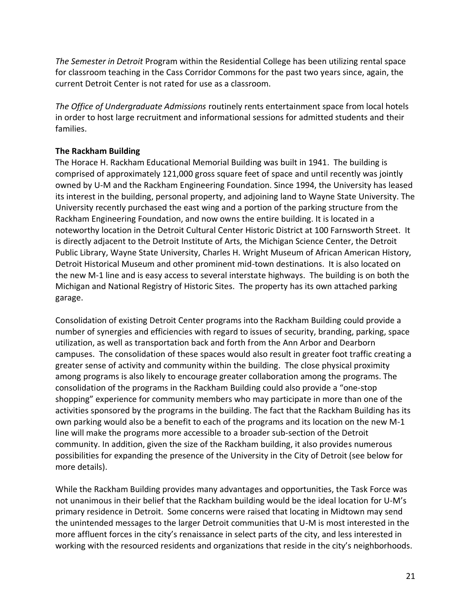*The Semester in Detroit* Program within the Residential College has been utilizing rental space for classroom teaching in the Cass Corridor Commons for the past two years since, again, the current Detroit Center is not rated for use as a classroom.

*The Office of Undergraduate Admissions* routinely rents entertainment space from local hotels in order to host large recruitment and informational sessions for admitted students and their families.

## **The Rackham Building**

The Horace H. Rackham Educational Memorial Building was built in 1941. The building is comprised of approximately 121,000 gross square feet of space and until recently was jointly owned by U-M and the Rackham Engineering Foundation. Since 1994, the University has leased its interest in the building, personal property, and adjoining land to Wayne State University. The University recently purchased the east wing and a portion of the parking structure from the Rackham Engineering Foundation, and now owns the entire building. It is located in a noteworthy location in the Detroit Cultural Center Historic District at 100 Farnsworth Street. It is directly adjacent to the Detroit Institute of Arts, the Michigan Science Center, the Detroit Public Library, Wayne State University, Charles H. Wright Museum of African American History, Detroit Historical Museum and other prominent mid-town destinations. It is also located on the new M-1 line and is easy access to several interstate highways. The building is on both the Michigan and National Registry of Historic Sites. The property has its own attached parking garage.

Consolidation of existing Detroit Center programs into the Rackham Building could provide a number of synergies and efficiencies with regard to issues of security, branding, parking, space utilization, as well as transportation back and forth from the Ann Arbor and Dearborn campuses. The consolidation of these spaces would also result in greater foot traffic creating a greater sense of activity and community within the building. The close physical proximity among programs is also likely to encourage greater collaboration among the programs. The consolidation of the programs in the Rackham Building could also provide a "one-stop shopping" experience for community members who may participate in more than one of the activities sponsored by the programs in the building. The fact that the Rackham Building has its own parking would also be a benefit to each of the programs and its location on the new M-1 line will make the programs more accessible to a broader sub-section of the Detroit community. In addition, given the size of the Rackham building, it also provides numerous possibilities for expanding the presence of the University in the City of Detroit (see below for more details).

While the Rackham Building provides many advantages and opportunities, the Task Force was not unanimous in their belief that the Rackham building would be the ideal location for U-M's primary residence in Detroit. Some concerns were raised that locating in Midtown may send the unintended messages to the larger Detroit communities that U-M is most interested in the more affluent forces in the city's renaissance in select parts of the city, and less interested in working with the resourced residents and organizations that reside in the city's neighborhoods.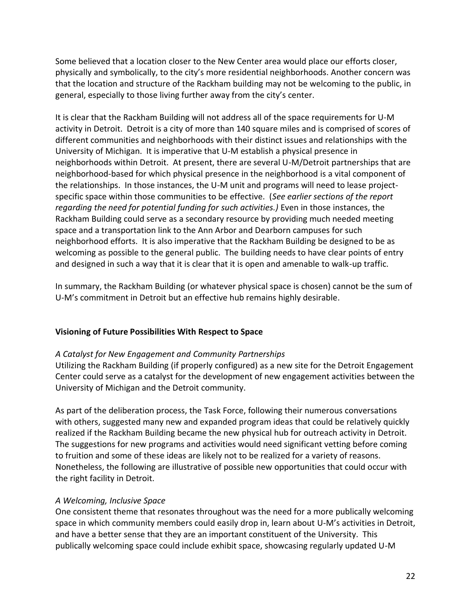Some believed that a location closer to the New Center area would place our efforts closer, physically and symbolically, to the city's more residential neighborhoods. Another concern was that the location and structure of the Rackham building may not be welcoming to the public, in general, especially to those living further away from the city's center.

It is clear that the Rackham Building will not address all of the space requirements for U-M activity in Detroit. Detroit is a city of more than 140 square miles and is comprised of scores of different communities and neighborhoods with their distinct issues and relationships with the University of Michigan. It is imperative that U-M establish a physical presence in neighborhoods within Detroit. At present, there are several U-M/Detroit partnerships that are neighborhood-based for which physical presence in the neighborhood is a vital component of the relationships. In those instances, the U-M unit and programs will need to lease projectspecific space within those communities to be effective. (*See earlier sections of the report regarding the need for potential funding for such activities.)* Even in those instances, the Rackham Building could serve as a secondary resource by providing much needed meeting space and a transportation link to the Ann Arbor and Dearborn campuses for such neighborhood efforts. It is also imperative that the Rackham Building be designed to be as welcoming as possible to the general public. The building needs to have clear points of entry and designed in such a way that it is clear that it is open and amenable to walk-up traffic.

In summary, the Rackham Building (or whatever physical space is chosen) cannot be the sum of U-M's commitment in Detroit but an effective hub remains highly desirable.

## **Visioning of Future Possibilities With Respect to Space**

#### *A Catalyst for New Engagement and Community Partnerships*

Utilizing the Rackham Building (if properly configured) as a new site for the Detroit Engagement Center could serve as a catalyst for the development of new engagement activities between the University of Michigan and the Detroit community.

As part of the deliberation process, the Task Force, following their numerous conversations with others, suggested many new and expanded program ideas that could be relatively quickly realized if the Rackham Building became the new physical hub for outreach activity in Detroit. The suggestions for new programs and activities would need significant vetting before coming to fruition and some of these ideas are likely not to be realized for a variety of reasons. Nonetheless, the following are illustrative of possible new opportunities that could occur with the right facility in Detroit.

#### *A Welcoming, Inclusive Space*

One consistent theme that resonates throughout was the need for a more publically welcoming space in which community members could easily drop in, learn about U-M's activities in Detroit, and have a better sense that they are an important constituent of the University. This publically welcoming space could include exhibit space, showcasing regularly updated U-M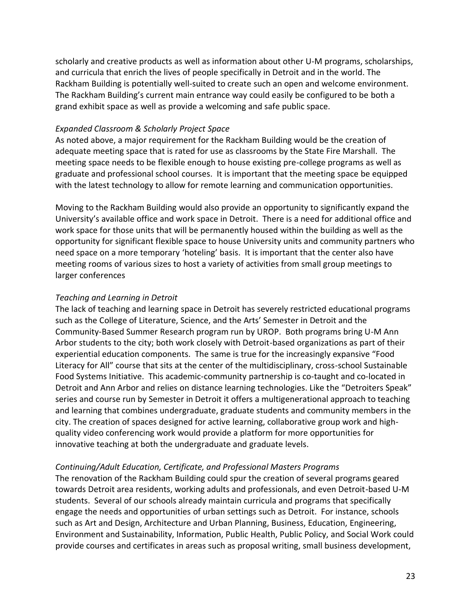scholarly and creative products as well as information about other U-M programs, scholarships, and curricula that enrich the lives of people specifically in Detroit and in the world. The Rackham Building is potentially well-suited to create such an open and welcome environment. The Rackham Building's current main entrance way could easily be configured to be both a grand exhibit space as well as provide a welcoming and safe public space.

#### *Expanded Classroom & Scholarly Project Space*

As noted above, a major requirement for the Rackham Building would be the creation of adequate meeting space that is rated for use as classrooms by the State Fire Marshall. The meeting space needs to be flexible enough to house existing pre-college programs as well as graduate and professional school courses. It is important that the meeting space be equipped with the latest technology to allow for remote learning and communication opportunities.

Moving to the Rackham Building would also provide an opportunity to significantly expand the University's available office and work space in Detroit. There is a need for additional office and work space for those units that will be permanently housed within the building as well as the opportunity for significant flexible space to house University units and community partners who need space on a more temporary 'hoteling' basis. It is important that the center also have meeting rooms of various sizes to host a variety of activities from small group meetings to larger conferences

## *Teaching and Learning in Detroit*

The lack of teaching and learning space in Detroit has severely restricted educational programs such as the College of Literature, Science, and the Arts' Semester in Detroit and the Community-Based Summer Research program run by UROP. Both programs bring U-M Ann Arbor students to the city; both work closely with Detroit-based organizations as part of their experiential education components. The same is true for the increasingly expansive "Food Literacy for All" course that sits at the center of the multidisciplinary, cross-school Sustainable Food Systems Initiative. This academic-community partnership is co-taught and co-located in Detroit and Ann Arbor and relies on distance learning technologies. Like the "Detroiters Speak" series and course run by Semester in Detroit it offers a multigenerational approach to teaching and learning that combines undergraduate, graduate students and community members in the city. The creation of spaces designed for active learning, collaborative group work and highquality video conferencing work would provide a platform for more opportunities for innovative teaching at both the undergraduate and graduate levels.

## *Continuing/Adult Education, Certificate, and Professional Masters Programs*

The renovation of the Rackham Building could spur the creation of several programs geared towards Detroit area residents, working adults and professionals, and even Detroit-based U-M students. Several of our schools already maintain curricula and programs that specifically engage the needs and opportunities of urban settings such as Detroit. For instance, schools such as Art and Design, Architecture and Urban Planning, Business, Education, Engineering, Environment and Sustainability, Information, Public Health, Public Policy, and Social Work could provide courses and certificates in areas such as proposal writing, small business development,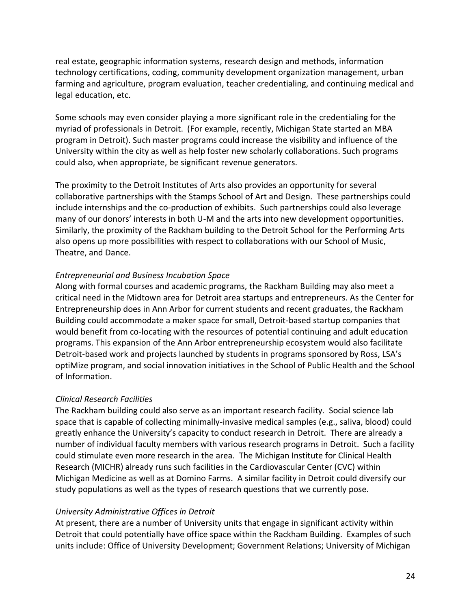real estate, geographic information systems, research design and methods, information technology certifications, coding, community development organization management, urban farming and agriculture, program evaluation, teacher credentialing, and continuing medical and legal education, etc.

Some schools may even consider playing a more significant role in the credentialing for the myriad of professionals in Detroit. (For example, recently, Michigan State started an MBA program in Detroit). Such master programs could increase the visibility and influence of the University within the city as well as help foster new scholarly collaborations. Such programs could also, when appropriate, be significant revenue generators.

The proximity to the Detroit Institutes of Arts also provides an opportunity for several collaborative partnerships with the Stamps School of Art and Design. These partnerships could include internships and the co-production of exhibits. Such partnerships could also leverage many of our donors' interests in both U-M and the arts into new development opportunities. Similarly, the proximity of the Rackham building to the Detroit School for the Performing Arts also opens up more possibilities with respect to collaborations with our School of Music, Theatre, and Dance.

## *Entrepreneurial and Business Incubation Space*

Along with formal courses and academic programs, the Rackham Building may also meet a critical need in the Midtown area for Detroit area startups and entrepreneurs. As the Center for Entrepreneurship does in Ann Arbor for current students and recent graduates, the Rackham Building could accommodate a maker space for small, Detroit-based startup companies that would benefit from co-locating with the resources of potential continuing and adult education programs. This expansion of the Ann Arbor entrepreneurship ecosystem would also facilitate Detroit-based work and projects launched by students in programs sponsored by Ross, LSA's optiMize program, and social innovation initiatives in the School of Public Health and the School of Information.

## *Clinical Research Facilities*

The Rackham building could also serve as an important research facility. Social science lab space that is capable of collecting minimally-invasive medical samples (e.g., saliva, blood) could greatly enhance the University's capacity to conduct research in Detroit. There are already a number of individual faculty members with various research programs in Detroit. Such a facility could stimulate even more research in the area. The Michigan Institute for Clinical Health Research (MICHR) already runs such facilities in the Cardiovascular Center (CVC) within Michigan Medicine as well as at Domino Farms. A similar facility in Detroit could diversify our study populations as well as the types of research questions that we currently pose.

## *University Administrative Offices in Detroit*

At present, there are a number of University units that engage in significant activity within Detroit that could potentially have office space within the Rackham Building. Examples of such units include: Office of University Development; Government Relations; University of Michigan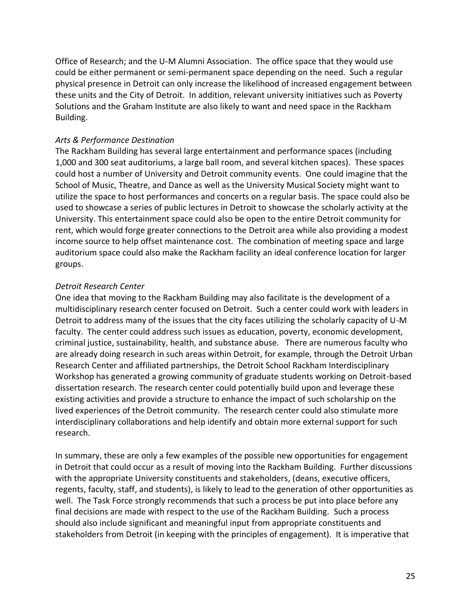Office of Research; and the U-M Alumni Association. The office space that they would use could be either permanent or semi-permanent space depending on the need. Such a regular physical presence in Detroit can only increase the likelihood of increased engagement between these units and the City of Detroit. In addition, relevant university initiatives such as Poverty Solutions and the Graham Institute are also likely to want and need space in the Rackham Building.

#### *Arts & Performance Destination*

The Rackham Building has several large entertainment and performance spaces (including 1,000 and 300 seat auditoriums, a large ball room, and several kitchen spaces). These spaces could host a number of University and Detroit community events. One could imagine that the School of Music, Theatre, and Dance as well as the University Musical Society might want to utilize the space to host performances and concerts on a regular basis. The space could also be used to showcase a series of public lectures in Detroit to showcase the scholarly activity at the University. This entertainment space could also be open to the entire Detroit community for rent, which would forge greater connections to the Detroit area while also providing a modest income source to help offset maintenance cost. The combination of meeting space and large auditorium space could also make the Rackham facility an ideal conference location for larger groups.

#### *Detroit Research Center*

One idea that moving to the Rackham Building may also facilitate is the development of a multidisciplinary research center focused on Detroit. Such a center could work with leaders in Detroit to address many of the issues that the city faces utilizing the scholarly capacity of U-M faculty. The center could address such issues as education, poverty, economic development, criminal justice, sustainability, health, and substance abuse. There are numerous faculty who are already doing research in such areas within Detroit, for example, through the Detroit Urban Research Center and affiliated partnerships, the Detroit School Rackham Interdisciplinary Workshop has generated a growing community of graduate students working on Detroit-based dissertation research. The research center could potentially build upon and leverage these existing activities and provide a structure to enhance the impact of such scholarship on the lived experiences of the Detroit community. The research center could also stimulate more interdisciplinary collaborations and help identify and obtain more external support for such research.

In summary, these are only a few examples of the possible new opportunities for engagement in Detroit that could occur as a result of moving into the Rackham Building. Further discussions with the appropriate University constituents and stakeholders, (deans, executive officers, regents, faculty, staff, and students), is likely to lead to the generation of other opportunities as well. The Task Force strongly recommends that such a process be put into place before any final decisions are made with respect to the use of the Rackham Building. Such a process should also include significant and meaningful input from appropriate constituents and stakeholders from Detroit (in keeping with the principles of engagement). It is imperative that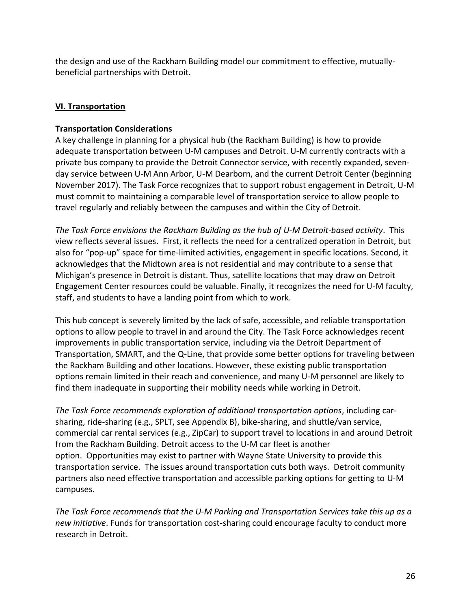the design and use of the Rackham Building model our commitment to effective, mutuallybeneficial partnerships with Detroit.

## **VI. Transportation**

## **Transportation Considerations**

A key challenge in planning for a physical hub (the Rackham Building) is how to provide adequate transportation between U-M campuses and Detroit. U-M currently contracts with a private bus company to provide the Detroit Connector service, with recently expanded, sevenday service between U-M Ann Arbor, U-M Dearborn, and the current Detroit Center (beginning November 2017). The Task Force recognizes that to support robust engagement in Detroit, U-M must commit to maintaining a comparable level of transportation service to allow people to travel regularly and reliably between the campuses and within the City of Detroit.

*The Task Force envisions the Rackham Building as the hub of U-M Detroit-based activity*. This view reflects several issues. First, it reflects the need for a centralized operation in Detroit, but also for "pop-up" space for time-limited activities, engagement in specific locations. Second, it acknowledges that the Midtown area is not residential and may contribute to a sense that Michigan's presence in Detroit is distant. Thus, satellite locations that may draw on Detroit Engagement Center resources could be valuable. Finally, it recognizes the need for U-M faculty, staff, and students to have a landing point from which to work.

This hub concept is severely limited by the lack of safe, accessible, and reliable transportation options to allow people to travel in and around the City. The Task Force acknowledges recent improvements in public transportation service, including via the Detroit Department of Transportation, SMART, and the Q-Line, that provide some better options for traveling between the Rackham Building and other locations. However, these existing public transportation options remain limited in their reach and convenience, and many U-M personnel are likely to find them inadequate in supporting their mobility needs while working in Detroit.

*The Task Force recommends exploration of additional transportation options*, including carsharing, ride-sharing (e.g., SPLT, see Appendix B), bike-sharing, and shuttle/van service, commercial car rental services (e.g., ZipCar) to support travel to locations in and around Detroit from the Rackham Building. Detroit access to the U-M car fleet is another option. Opportunities may exist to partner with Wayne State University to provide this transportation service. The issues around transportation cuts both ways. Detroit community partners also need effective transportation and accessible parking options for getting to U-M campuses.

*The Task Force recommends that the U-M Parking and Transportation Services take this up as a new initiative*. Funds for transportation cost-sharing could encourage faculty to conduct more research in Detroit.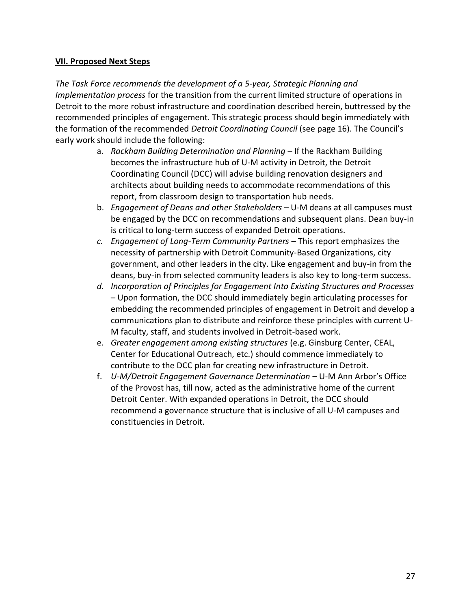#### **VII. Proposed Next Steps**

*The Task Force recommends the development of a 5-year, Strategic Planning and Implementation process* for the transition from the current limited structure of operations in Detroit to the more robust infrastructure and coordination described herein, buttressed by the recommended principles of engagement. This strategic process should begin immediately with the formation of the recommended *Detroit Coordinating Council* (see page 16). The Council's early work should include the following:

- a. *Rackham Building Determination and Planning* If the Rackham Building becomes the infrastructure hub of U-M activity in Detroit, the Detroit Coordinating Council (DCC) will advise building renovation designers and architects about building needs to accommodate recommendations of this report, from classroom design to transportation hub needs.
- b. *Engagement of Deans and other Stakeholders* U-M deans at all campuses must be engaged by the DCC on recommendations and subsequent plans. Dean buy-in is critical to long-term success of expanded Detroit operations.
- *c. Engagement of Long-Term Community Partners* This report emphasizes the necessity of partnership with Detroit Community-Based Organizations, city government, and other leaders in the city. Like engagement and buy-in from the deans, buy-in from selected community leaders is also key to long-term success.
- *d. Incorporation of Principles for Engagement Into Existing Structures and Processes* – Upon formation, the DCC should immediately begin articulating processes for embedding the recommended principles of engagement in Detroit and develop a communications plan to distribute and reinforce these principles with current U-M faculty, staff, and students involved in Detroit-based work.
- e. *Greater engagement among existing structures* (e.g. Ginsburg Center, CEAL, Center for Educational Outreach, etc.) should commence immediately to contribute to the DCC plan for creating new infrastructure in Detroit.
- f. *U-M/Detroit Engagement Governance Determination –* U-M Ann Arbor's Office of the Provost has, till now, acted as the administrative home of the current Detroit Center. With expanded operations in Detroit, the DCC should recommend a governance structure that is inclusive of all U-M campuses and constituencies in Detroit.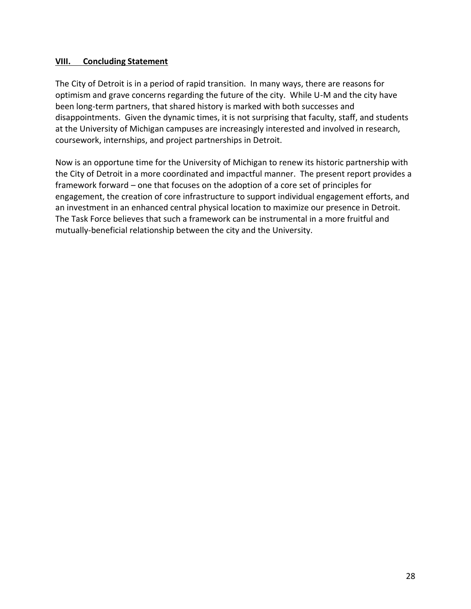#### **VIII. Concluding Statement**

The City of Detroit is in a period of rapid transition. In many ways, there are reasons for optimism and grave concerns regarding the future of the city. While U-M and the city have been long-term partners, that shared history is marked with both successes and disappointments. Given the dynamic times, it is not surprising that faculty, staff, and students at the University of Michigan campuses are increasingly interested and involved in research, coursework, internships, and project partnerships in Detroit.

Now is an opportune time for the University of Michigan to renew its historic partnership with the City of Detroit in a more coordinated and impactful manner. The present report provides a framework forward – one that focuses on the adoption of a core set of principles for engagement, the creation of core infrastructure to support individual engagement efforts, and an investment in an enhanced central physical location to maximize our presence in Detroit. The Task Force believes that such a framework can be instrumental in a more fruitful and mutually-beneficial relationship between the city and the University.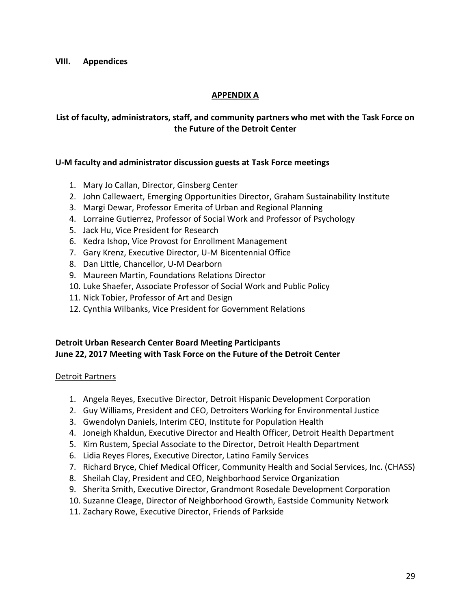**VIII. Appendices**

### **APPENDIX A**

### **List of faculty, administrators, staff, and community partners who met with the Task Force on the Future of the Detroit Center**

#### **U-M faculty and administrator discussion guests at Task Force meetings**

- 1. Mary Jo Callan, Director, Ginsberg Center
- 2. John Callewaert, Emerging Opportunities Director, Graham Sustainability Institute
- 3. Margi Dewar, Professor Emerita of Urban and Regional Planning
- 4. Lorraine Gutierrez, Professor of Social Work and Professor of Psychology
- 5. Jack Hu, Vice President for Research
- 6. Kedra Ishop, Vice Provost for Enrollment Management
- 7. Gary Krenz, Executive Director, U-M Bicentennial Office
- 8. Dan Little, Chancellor, U-M Dearborn
- 9. Maureen Martin, Foundations Relations Director
- 10. Luke Shaefer, Associate Professor of Social Work and Public Policy
- 11. Nick Tobier, Professor of Art and Design
- 12. Cynthia Wilbanks, Vice President for Government Relations

## **Detroit Urban Research Center Board Meeting Participants June 22, 2017 Meeting with Task Force on the Future of the Detroit Center**

#### Detroit Partners

- 1. Angela Reyes, Executive Director, Detroit Hispanic Development Corporation
- 2. Guy Williams, President and CEO, Detroiters Working for Environmental Justice
- 3. Gwendolyn Daniels, Interim CEO, Institute for Population Health
- 4. Joneigh Khaldun, Executive Director and Health Officer, Detroit Health Department
- 5. Kim Rustem, Special Associate to the Director, Detroit Health Department
- 6. Lidia Reyes Flores, Executive Director, Latino Family Services
- 7. Richard Bryce, Chief Medical Officer, Community Health and Social Services, Inc. (CHASS)
- 8. Sheilah Clay, President and CEO, Neighborhood Service Organization
- 9. Sherita Smith, Executive Director, Grandmont Rosedale Development Corporation
- 10. Suzanne Cleage, Director of Neighborhood Growth, Eastside Community Network
- 11. Zachary Rowe, Executive Director, Friends of Parkside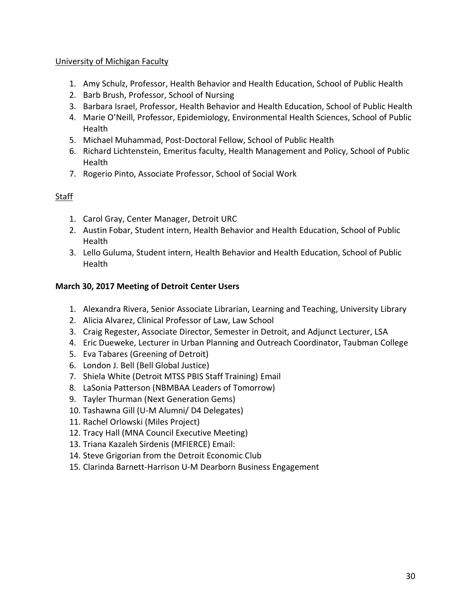#### University of Michigan Faculty

- 1. Amy Schulz, Professor, Health Behavior and Health Education, School of Public Health
- 2. Barb Brush, Professor, School of Nursing
- 3. Barbara Israel, Professor, Health Behavior and Health Education, School of Public Health
- 4. Marie O'Neill, Professor, Epidemiology, Environmental Health Sciences, School of Public Health
- 5. Michael Muhammad, Post-Doctoral Fellow, School of Public Health
- 6. Richard Lichtenstein, Emeritus faculty, Health Management and Policy, School of Public Health
- 7. Rogerio Pinto, Associate Professor, School of Social Work

## Staff

- 1. Carol Gray, Center Manager, Detroit URC
- 2. Austin Fobar, Student intern, Health Behavior and Health Education, School of Public **Health**
- 3. Lello Guluma, Student intern, Health Behavior and Health Education, School of Public Health

#### **March 30, 2017 Meeting of Detroit Center Users**

- 1. Alexandra Rivera, Senior Associate Librarian, Learning and Teaching, University Library
- 2. Alicia Alvarez, Clinical Professor of Law, Law School
- 3. Craig Regester, Associate Director, Semester in Detroit, and Adjunct Lecturer, LSA
- 4. Eric Dueweke, Lecturer in Urban Planning and Outreach Coordinator, Taubman College
- 5. Eva Tabares (Greening of Detroit)
- 6. London J. Bell (Bell Global Justice)
- 7. Shiela White (Detroit MTSS PBIS Staff Training) Email
- 8. LaSonia Patterson (NBMBAA Leaders of Tomorrow)
- 9. Tayler Thurman (Next Generation Gems)
- 10. Tashawna Gill (U-M Alumni/ D4 Delegates)
- 11. Rachel Orlowski (Miles Project)
- 12. Tracy Hall (MNA Council Executive Meeting)
- 13. Triana Kazaleh Sirdenis (MFIERCE) Email:
- 14. Steve Grigorian from the Detroit Economic Club
- 15. Clarinda Barnett-Harrison U-M Dearborn Business Engagement